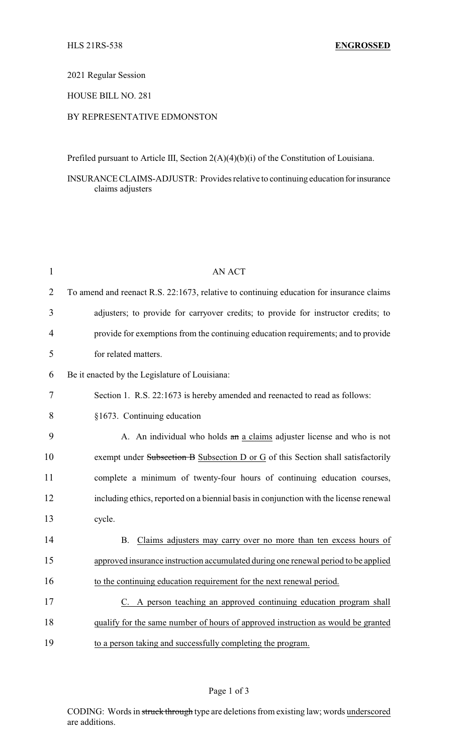#### 2021 Regular Session

# HOUSE BILL NO. 281

# BY REPRESENTATIVE EDMONSTON

Prefiled pursuant to Article III, Section 2(A)(4)(b)(i) of the Constitution of Louisiana.

INSURANCE CLAIMS-ADJUSTR: Provides relative to continuing education forinsurance claims adjusters

| $\mathbf{1}$   | <b>AN ACT</b>                                                                            |
|----------------|------------------------------------------------------------------------------------------|
| $\overline{2}$ | To amend and reenact R.S. 22:1673, relative to continuing education for insurance claims |
| 3              | adjusters; to provide for carryover credits; to provide for instructor credits; to       |
| 4              | provide for exemptions from the continuing education requirements; and to provide        |
| 5              | for related matters.                                                                     |
| 6              | Be it enacted by the Legislature of Louisiana:                                           |
| 7              | Section 1. R.S. 22:1673 is hereby amended and reenacted to read as follows:              |
| 8              | §1673. Continuing education                                                              |
| 9              | A. An individual who holds an a claims adjuster license and who is not                   |
| 10             | exempt under Subsection B Subsection D or G of this Section shall satisfactorily         |
| 11             | complete a minimum of twenty-four hours of continuing education courses,                 |
| 12             | including ethics, reported on a biennial basis in conjunction with the license renewal   |
| 13             | cycle.                                                                                   |
| 14             | Claims adjusters may carry over no more than ten excess hours of<br><b>B.</b>            |
| 15             | approved insurance instruction accumulated during one renewal period to be applied       |
| 16             | to the continuing education requirement for the next renewal period.                     |
| 17             | C. A person teaching an approved continuing education program shall                      |
| 18             | qualify for the same number of hours of approved instruction as would be granted         |
| 19             | to a person taking and successfully completing the program.                              |

### Page 1 of 3

CODING: Words in struck through type are deletions from existing law; words underscored are additions.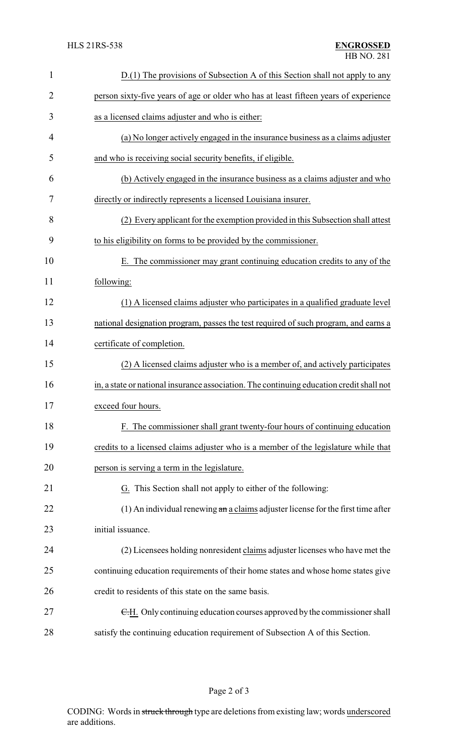| $\mathbf{1}$   | D.(1) The provisions of Subsection A of this Section shall not apply to any                       |
|----------------|---------------------------------------------------------------------------------------------------|
| $\overline{2}$ | person sixty-five years of age or older who has at least fifteen years of experience              |
| 3              | as a licensed claims adjuster and who is either:                                                  |
| 4              | (a) No longer actively engaged in the insurance business as a claims adjuster                     |
| 5              | and who is receiving social security benefits, if eligible.                                       |
| 6              | (b) Actively engaged in the insurance business as a claims adjuster and who                       |
| 7              | directly or indirectly represents a licensed Louisiana insurer.                                   |
| 8              | (2) Every applicant for the exemption provided in this Subsection shall attest                    |
| 9              | to his eligibility on forms to be provided by the commissioner.                                   |
| 10             | E. The commissioner may grant continuing education credits to any of the                          |
| 11             | following:                                                                                        |
| 12             | (1) A licensed claims adjuster who participates in a qualified graduate level                     |
| 13             | national designation program, passes the test required of such program, and earns a               |
| 14             | certificate of completion.                                                                        |
| 15             | (2) A licensed claims adjuster who is a member of, and actively participates                      |
| 16             | in, a state or national insurance association. The continuing education credit shall not          |
| 17             | exceed four hours.                                                                                |
| 18             | F. The commissioner shall grant twenty-four hours of continuing education                         |
| 19             | credits to a licensed claims adjuster who is a member of the legislature while that               |
| 20             | person is serving a term in the legislature.                                                      |
| 21             | G. This Section shall not apply to either of the following:                                       |
| 22             | $(1)$ An individual renewing $\frac{a_n}{b_n}$ a claims adjuster license for the first time after |
| 23             | initial issuance.                                                                                 |
| 24             | (2) Licensees holding nonresident claims adjuster licenses who have met the                       |
| 25             | continuing education requirements of their home states and whose home states give                 |
| 26             | credit to residents of this state on the same basis.                                              |
| 27             | E.H. Only continuing education courses approved by the commissioner shall                         |
| 28             | satisfy the continuing education requirement of Subsection A of this Section.                     |